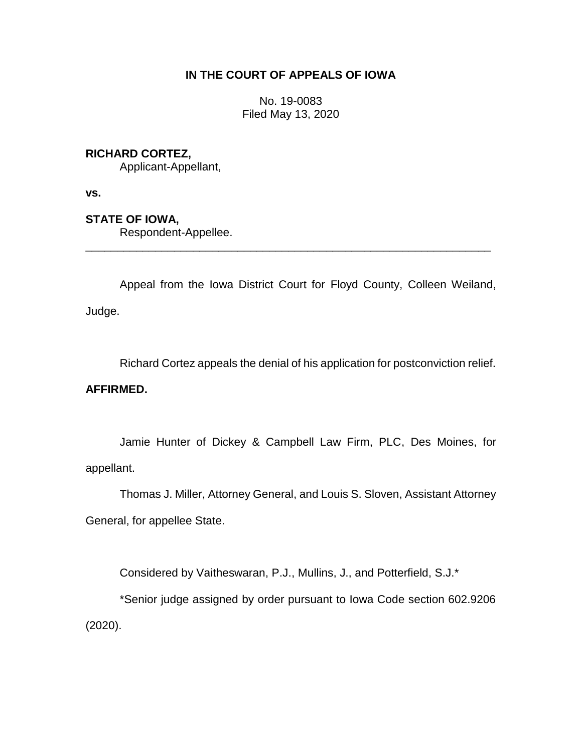# **IN THE COURT OF APPEALS OF IOWA**

No. 19-0083 Filed May 13, 2020

# **RICHARD CORTEZ,**

Applicant-Appellant,

**vs.**

## **STATE OF IOWA,**

Respondent-Appellee.

Appeal from the Iowa District Court for Floyd County, Colleen Weiland, Judge.

\_\_\_\_\_\_\_\_\_\_\_\_\_\_\_\_\_\_\_\_\_\_\_\_\_\_\_\_\_\_\_\_\_\_\_\_\_\_\_\_\_\_\_\_\_\_\_\_\_\_\_\_\_\_\_\_\_\_\_\_\_\_\_\_

Richard Cortez appeals the denial of his application for postconviction relief.

## **AFFIRMED.**

Jamie Hunter of Dickey & Campbell Law Firm, PLC, Des Moines, for appellant.

Thomas J. Miller, Attorney General, and Louis S. Sloven, Assistant Attorney General, for appellee State.

Considered by Vaitheswaran, P.J., Mullins, J., and Potterfield, S.J.\*

\*Senior judge assigned by order pursuant to Iowa Code section 602.9206 (2020).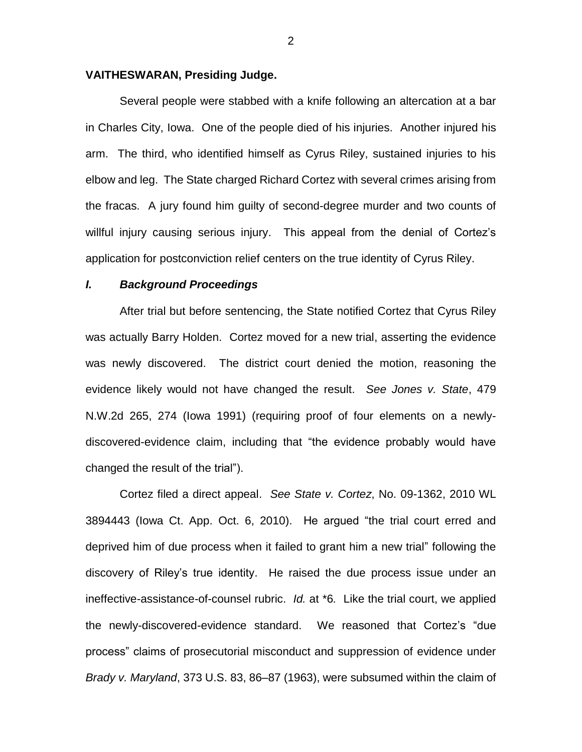## **VAITHESWARAN, Presiding Judge.**

Several people were stabbed with a knife following an altercation at a bar in Charles City, Iowa. One of the people died of his injuries. Another injured his arm. The third, who identified himself as Cyrus Riley, sustained injuries to his elbow and leg. The State charged Richard Cortez with several crimes arising from the fracas. A jury found him guilty of second-degree murder and two counts of willful injury causing serious injury. This appeal from the denial of Cortez's application for postconviction relief centers on the true identity of Cyrus Riley.

#### *I. Background Proceedings*

After trial but before sentencing, the State notified Cortez that Cyrus Riley was actually Barry Holden. Cortez moved for a new trial, asserting the evidence was newly discovered. The district court denied the motion, reasoning the evidence likely would not have changed the result. *See Jones v. State*, 479 N.W.2d 265, 274 (Iowa 1991) (requiring proof of four elements on a newlydiscovered-evidence claim, including that "the evidence probably would have changed the result of the trial").

Cortez filed a direct appeal. *See State v. Cortez*, No. 09-1362, 2010 WL 3894443 (Iowa Ct. App. Oct. 6, 2010). He argued "the trial court erred and deprived him of due process when it failed to grant him a new trial" following the discovery of Riley's true identity. He raised the due process issue under an ineffective-assistance-of-counsel rubric. *Id.* at \*6*.* Like the trial court, we applied the newly-discovered-evidence standard. We reasoned that Cortez's "due process" claims of prosecutorial misconduct and suppression of evidence under *Brady v. Maryland*, 373 U.S. 83, 86–87 (1963), were subsumed within the claim of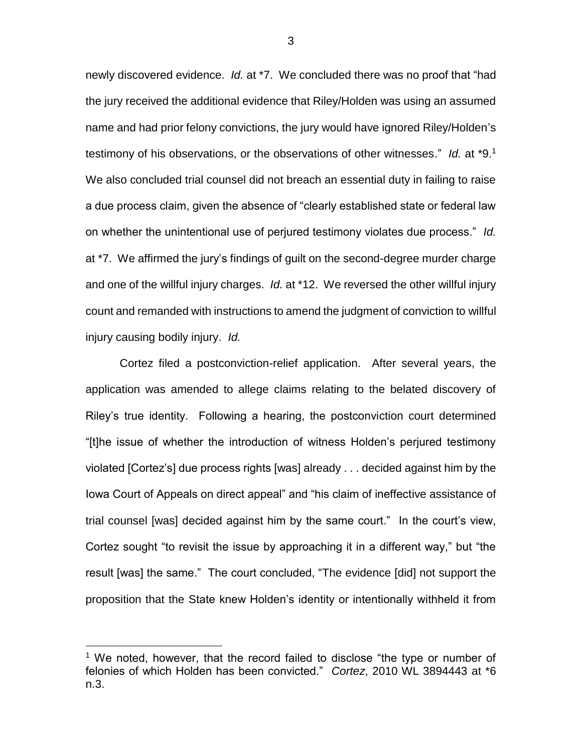newly discovered evidence. *Id.* at \*7. We concluded there was no proof that "had the jury received the additional evidence that Riley/Holden was using an assumed name and had prior felony convictions, the jury would have ignored Riley/Holden's testimony of his observations, or the observations of other witnesses." *Id.* at \*9.<sup>1</sup> We also concluded trial counsel did not breach an essential duty in failing to raise a due process claim, given the absence of "clearly established state or federal law on whether the unintentional use of perjured testimony violates due process." *Id.* at \*7. We affirmed the jury's findings of guilt on the second-degree murder charge and one of the willful injury charges. *Id.* at \*12. We reversed the other willful injury count and remanded with instructions to amend the judgment of conviction to willful injury causing bodily injury. *Id.*

Cortez filed a postconviction-relief application. After several years, the application was amended to allege claims relating to the belated discovery of Riley's true identity. Following a hearing, the postconviction court determined "[t]he issue of whether the introduction of witness Holden's perjured testimony violated [Cortez's] due process rights [was] already . . . decided against him by the Iowa Court of Appeals on direct appeal" and "his claim of ineffective assistance of trial counsel [was] decided against him by the same court." In the court's view, Cortez sought "to revisit the issue by approaching it in a different way," but "the result [was] the same." The court concluded, "The evidence [did] not support the proposition that the State knew Holden's identity or intentionally withheld it from

 $\overline{a}$ 

3

<sup>&</sup>lt;sup>1</sup> We noted, however, that the record failed to disclose "the type or number of felonies of which Holden has been convicted." *Cortez*, 2010 WL 3894443 at \*6 n.3.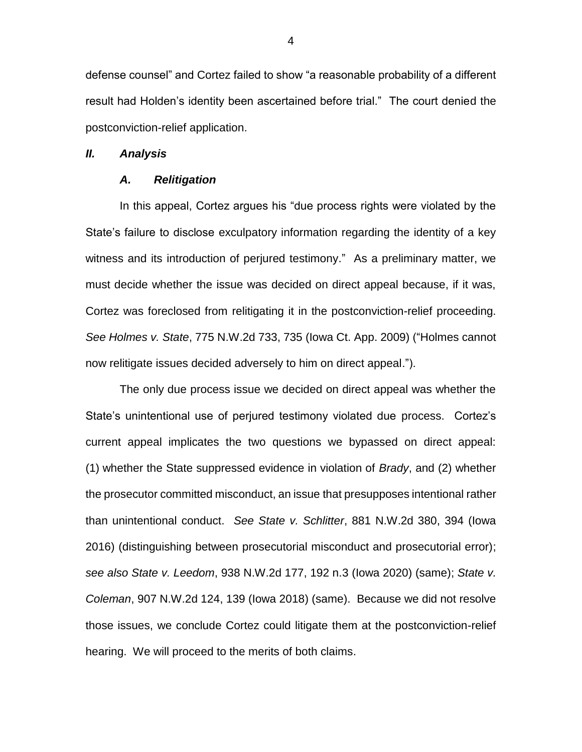defense counsel" and Cortez failed to show "a reasonable probability of a different result had Holden's identity been ascertained before trial." The court denied the postconviction-relief application.

#### *II. Analysis*

### *A. Relitigation*

In this appeal, Cortez argues his "due process rights were violated by the State's failure to disclose exculpatory information regarding the identity of a key witness and its introduction of perjured testimony." As a preliminary matter, we must decide whether the issue was decided on direct appeal because, if it was, Cortez was foreclosed from relitigating it in the postconviction-relief proceeding. *See Holmes v. State*, 775 N.W.2d 733, 735 (Iowa Ct. App. 2009) ("Holmes cannot now relitigate issues decided adversely to him on direct appeal.").

The only due process issue we decided on direct appeal was whether the State's unintentional use of perjured testimony violated due process. Cortez's current appeal implicates the two questions we bypassed on direct appeal: (1) whether the State suppressed evidence in violation of *Brady*, and (2) whether the prosecutor committed misconduct, an issue that presupposes intentional rather than unintentional conduct. *See State v. Schlitter*, 881 N.W.2d 380, 394 (Iowa 2016) (distinguishing between prosecutorial misconduct and prosecutorial error); *see also State v. Leedom*, 938 N.W.2d 177, 192 n.3 (Iowa 2020) (same); *State v. Coleman*, 907 N.W.2d 124, 139 (Iowa 2018) (same). Because we did not resolve those issues, we conclude Cortez could litigate them at the postconviction-relief hearing. We will proceed to the merits of both claims.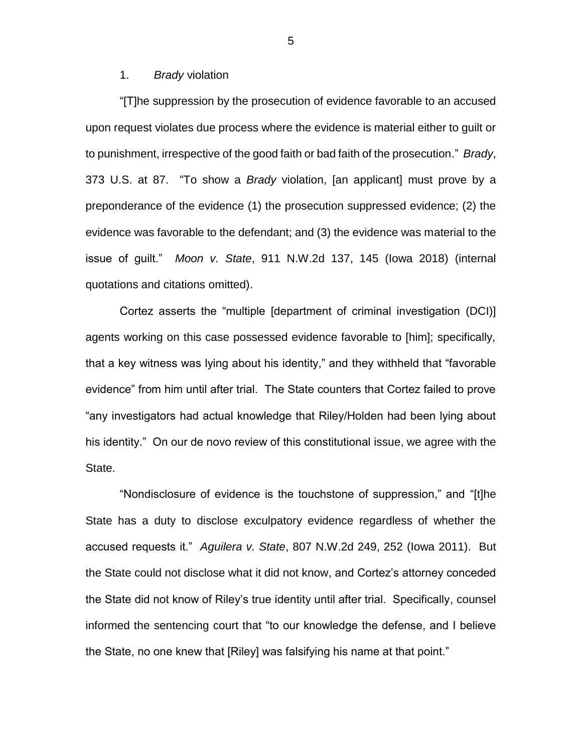#### 1. *Brady* violation

"[T]he suppression by the prosecution of evidence favorable to an accused upon request violates due process where the evidence is material either to guilt or to punishment, irrespective of the good faith or bad faith of the prosecution." *Brady*, 373 U.S. at 87. "To show a *Brady* violation, [an applicant] must prove by a preponderance of the evidence (1) the prosecution suppressed evidence; (2) the evidence was favorable to the defendant; and (3) the evidence was material to the issue of guilt." *Moon v. State*, 911 N.W.2d 137, 145 (Iowa 2018) (internal quotations and citations omitted).

Cortez asserts the "multiple [department of criminal investigation (DCI)] agents working on this case possessed evidence favorable to [him]; specifically, that a key witness was lying about his identity," and they withheld that "favorable evidence" from him until after trial. The State counters that Cortez failed to prove "any investigators had actual knowledge that Riley/Holden had been lying about his identity." On our de novo review of this constitutional issue, we agree with the State.

"Nondisclosure of evidence is the touchstone of suppression," and "[t]he State has a duty to disclose exculpatory evidence regardless of whether the accused requests it." *Aguilera v. State*, 807 N.W.2d 249, 252 (Iowa 2011). But the State could not disclose what it did not know, and Cortez's attorney conceded the State did not know of Riley's true identity until after trial. Specifically, counsel informed the sentencing court that "to our knowledge the defense, and I believe the State, no one knew that [Riley] was falsifying his name at that point."

5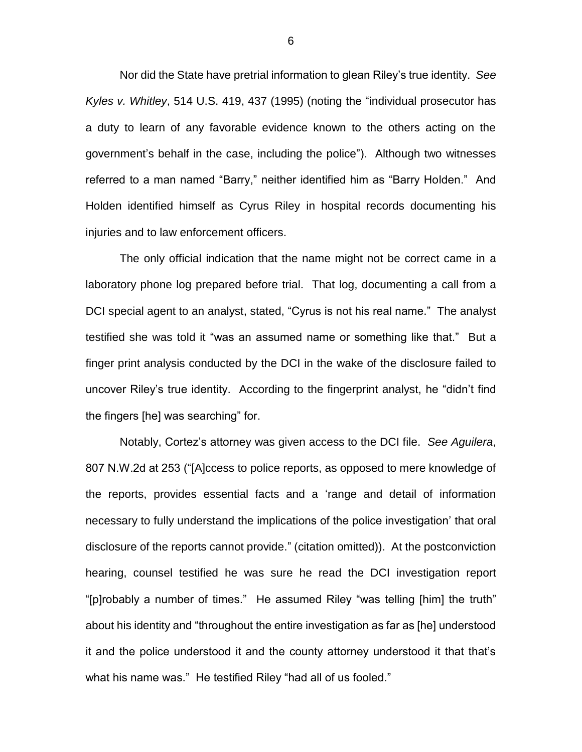Nor did the State have pretrial information to glean Riley's true identity. *See Kyles v. Whitley*, 514 U.S. 419, 437 (1995) (noting the "individual prosecutor has a duty to learn of any favorable evidence known to the others acting on the government's behalf in the case, including the police"). Although two witnesses referred to a man named "Barry," neither identified him as "Barry Holden." And Holden identified himself as Cyrus Riley in hospital records documenting his injuries and to law enforcement officers.

The only official indication that the name might not be correct came in a laboratory phone log prepared before trial. That log, documenting a call from a DCI special agent to an analyst, stated, "Cyrus is not his real name." The analyst testified she was told it "was an assumed name or something like that." But a finger print analysis conducted by the DCI in the wake of the disclosure failed to uncover Riley's true identity. According to the fingerprint analyst, he "didn't find the fingers [he] was searching" for.

Notably, Cortez's attorney was given access to the DCI file. *See Aguilera*, 807 N.W.2d at 253 ("[A]ccess to police reports, as opposed to mere knowledge of the reports, provides essential facts and a 'range and detail of information necessary to fully understand the implications of the police investigation' that oral disclosure of the reports cannot provide." (citation omitted)). At the postconviction hearing, counsel testified he was sure he read the DCI investigation report "[p]robably a number of times." He assumed Riley "was telling [him] the truth" about his identity and "throughout the entire investigation as far as [he] understood it and the police understood it and the county attorney understood it that that's what his name was." He testified Riley "had all of us fooled."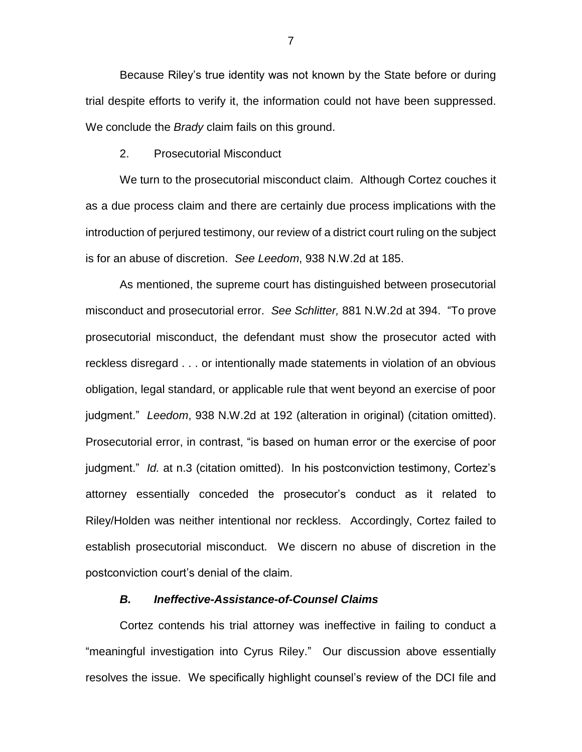Because Riley's true identity was not known by the State before or during trial despite efforts to verify it, the information could not have been suppressed. We conclude the *Brady* claim fails on this ground.

#### 2. Prosecutorial Misconduct

We turn to the prosecutorial misconduct claim. Although Cortez couches it as a due process claim and there are certainly due process implications with the introduction of perjured testimony, our review of a district court ruling on the subject is for an abuse of discretion. *See Leedom*, 938 N.W.2d at 185.

As mentioned, the supreme court has distinguished between prosecutorial misconduct and prosecutorial error. *See Schlitter,* 881 N.W.2d at 394. "To prove prosecutorial misconduct, the defendant must show the prosecutor acted with reckless disregard . . . or intentionally made statements in violation of an obvious obligation, legal standard, or applicable rule that went beyond an exercise of poor judgment." *Leedom*, 938 N.W.2d at 192 (alteration in original) (citation omitted). Prosecutorial error, in contrast, "is based on human error or the exercise of poor judgment." *Id.* at n.3 (citation omitted). In his postconviction testimony, Cortez's attorney essentially conceded the prosecutor's conduct as it related to Riley/Holden was neither intentional nor reckless. Accordingly, Cortez failed to establish prosecutorial misconduct. We discern no abuse of discretion in the postconviction court's denial of the claim.

## *B. Ineffective-Assistance-of-Counsel Claims*

Cortez contends his trial attorney was ineffective in failing to conduct a "meaningful investigation into Cyrus Riley." Our discussion above essentially resolves the issue. We specifically highlight counsel's review of the DCI file and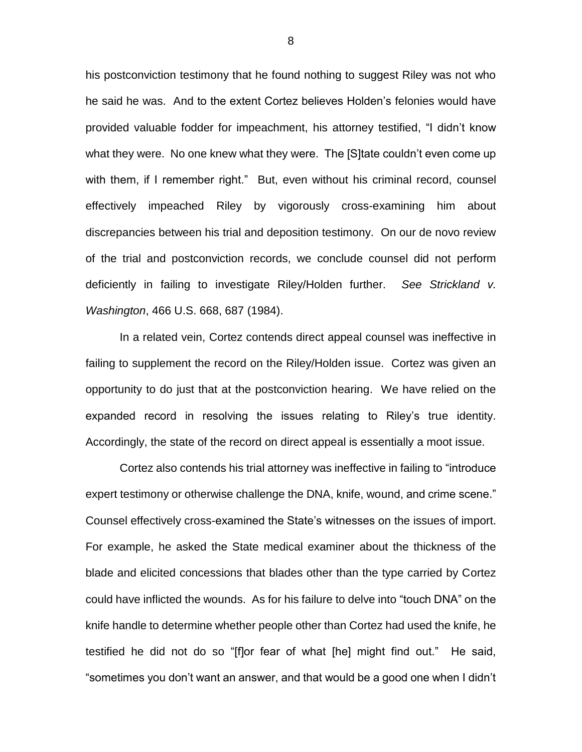his postconviction testimony that he found nothing to suggest Riley was not who he said he was. And to the extent Cortez believes Holden's felonies would have provided valuable fodder for impeachment, his attorney testified, "I didn't know what they were. No one knew what they were. The [S]tate couldn't even come up with them, if I remember right." But, even without his criminal record, counsel effectively impeached Riley by vigorously cross-examining him about discrepancies between his trial and deposition testimony. On our de novo review of the trial and postconviction records, we conclude counsel did not perform deficiently in failing to investigate Riley/Holden further. *See Strickland v. Washington*, 466 U.S. 668, 687 (1984).

In a related vein, Cortez contends direct appeal counsel was ineffective in failing to supplement the record on the Riley/Holden issue. Cortez was given an opportunity to do just that at the postconviction hearing. We have relied on the expanded record in resolving the issues relating to Riley's true identity. Accordingly, the state of the record on direct appeal is essentially a moot issue.

Cortez also contends his trial attorney was ineffective in failing to "introduce expert testimony or otherwise challenge the DNA, knife, wound, and crime scene." Counsel effectively cross-examined the State's witnesses on the issues of import. For example, he asked the State medical examiner about the thickness of the blade and elicited concessions that blades other than the type carried by Cortez could have inflicted the wounds. As for his failure to delve into "touch DNA" on the knife handle to determine whether people other than Cortez had used the knife, he testified he did not do so "[f]or fear of what [he] might find out." He said, "sometimes you don't want an answer, and that would be a good one when I didn't